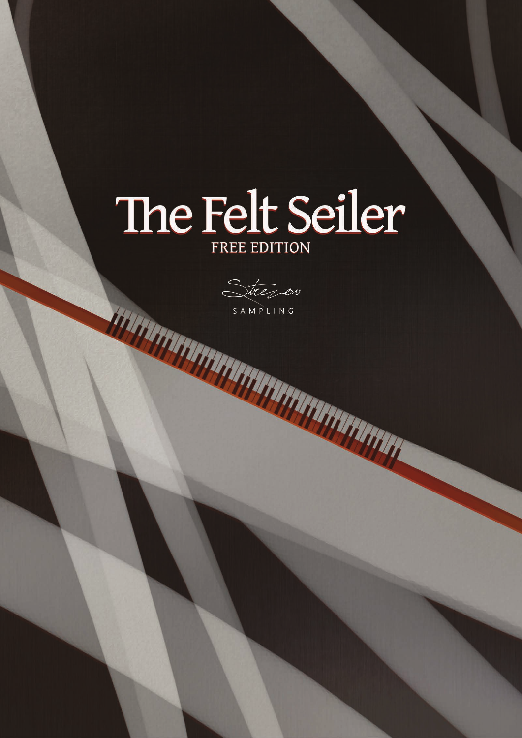# The Felt Seiler

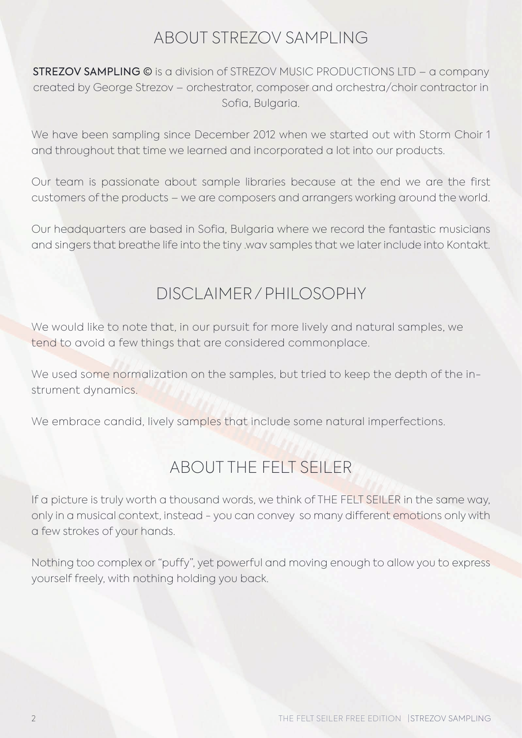#### ABOUT STREZOV SAMPLING

STREZOV SAMPLING © is a division of STREZOV MUSIC PRODUCTIONS LTD – a company created by George Strezov – orchestrator, composer and orchestra/choir contractor in Sofia, Bulgaria.

We have been sampling since December 2012 when we started out with Storm Choir 1 and throughout that time we learned and incorporated a lot into our products.

Our team is passionate about sample libraries because at the end we are the first customers of the products – we are composers and arrangers working around the world.

Our headquarters are based in Sofia, Bulgaria where we record the fantastic musicians and singers that breathe life into the tiny .wav samples that we later include into Kontakt.

#### DISCLAIMER / PHILOSOPHY

We would like to note that, in our pursuit for more lively and natural samples, we tend to avoid a few things that are considered commonplace.

We used some normalization on the samples, but tried to keep the depth of the instrument dynamics.

We embrace candid, lively samples that include some natural imperfections.

## ABOUT THE FELT SEILER

If a picture is truly worth a thousand words, we think of THE FELT SEILER in the same way, only in a musical context, instead - you can convey so many different emotions only with a few strokes of your hands.

Nothing too complex or "puffy", yet powerful and moving enough to allow you to express yourself freely, with nothing holding you back.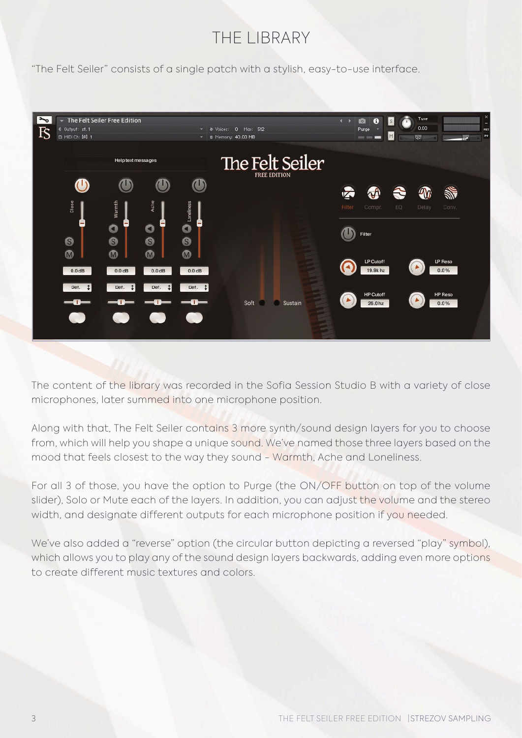## THE LIBRARY

"The Felt Seiler" consists of a single patch with a stylish, easy-to-use interface.



The content of the library was recorded in the Sofia Session Studio B with a variety of close microphones, later summed into one microphone position.

Along with that, The Felt Seiler contains 3 more synth/sound design layers for you to choose from, which will help you shape a unique sound. We've named those three layers based on the mood that feels closest to the way they sound - Warmth, Ache and Loneliness.

For all 3 of those, you have the option to Purge (the ON/OFF button on top of the volume slider), Solo or Mute each of the layers. In addition, you can adjust the volume and the stereo width, and designate different outputs for each microphone position if you needed.

We've also added a "reverse" option (the circular button depicting a reversed "play" symbol), which allows you to play any of the sound design layers backwards, adding even more options to create different music textures and colors.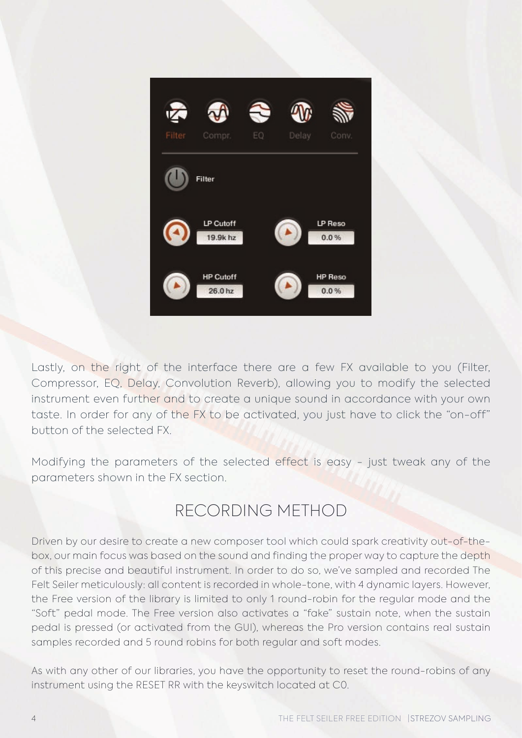

Lastly, on the right of the interface there are a few FX available to you (Filter, Compressor, EQ, Delay, Convolution Reverb), allowing you to modify the selected instrument even further and to create a unique sound in accordance with your own taste. In order for any of the FX to be activated, you just have to click the "on-off" button of the selected FX.

Modifying the parameters of the selected effect is easy - just tweak any of the parameters shown in the FX section.

## RECORDING METHOD

Driven by our desire to create a new composer tool which could spark creativity out-of-thebox, our main focus was based on the sound and finding the proper way to capture the depth of this precise and beautiful instrument. In order to do so, we've sampled and recorded The Felt Seiler meticulously: all content is recorded in whole-tone, with 4 dynamic layers. However, the Free version of the library is limited to only 1 round-robin for the regular mode and the "Soft" pedal mode. The Free version also activates a "fake" sustain note, when the sustain pedal is pressed (or activated from the GUI), whereas the Pro version contains real sustain samples recorded and 5 round robins for both regular and soft modes.

As with any other of our libraries, you have the opportunity to reset the round-robins of any instrument using the RESET RR with the keyswitch located at C0.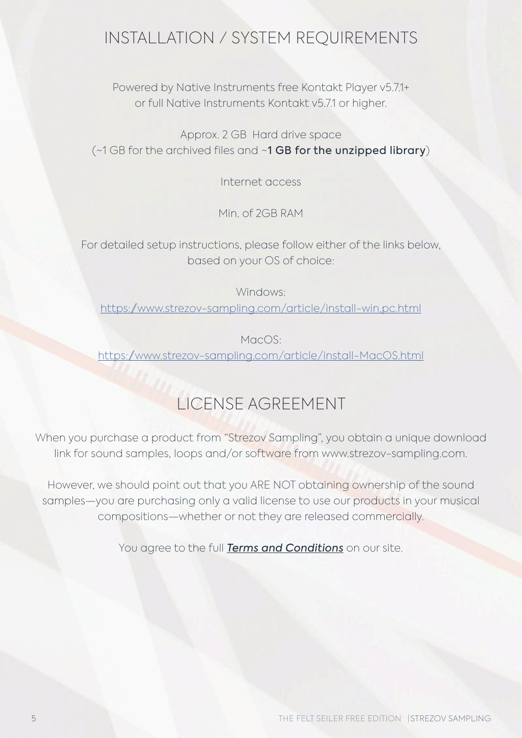#### INSTALLATION / SYSTEM REQUIREMENTS

Powered by Native Instruments free Kontakt Player v5.7.1+ or full Native Instruments Kontakt v5.7.1 or higher.

Approx. 2 GB Hard drive space (~1 GB for the archived files and ~1 GB for the unzipped library)

Internet access

Min. of 2GB RAM

For detailed setup instructions, please follow either of the links below, based on your OS of choice:

Windows: [https://www.strezov-sampling.com/article/install-win,pc.html](https://www.strezov-sampling.com/article/install-win,pc.html )

MacOS: [https://www.strezov-sampling.com/article/install-MacOS.html](https://www.strezov-sampling.com/article/install-MacOS.html )

## LICENSE AGREEMENT

When you purchase a product from "Strezov Sampling", you obtain a unique download link for sound samples, loops and/or software from www.strezov-sampling.com.

However, we should point out that you ARE NOT obtaining ownership of the sound samples—you are purchasing only a valid license to use our products in your musical compositions—whether or not they are released commercially.

You agree to the full *[Terms and Conditions](https://www.strezov-sampling.com/page/terms.html)* on our site.